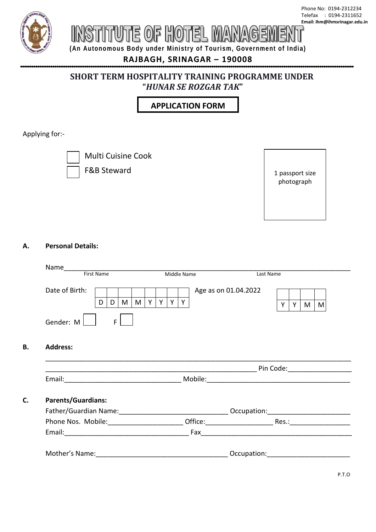

# ITUTE OF HOTEL M

**(An Autonomous Body under Ministry of Tourism, Government of India)**

## **RAJBAGH, SRINAGAR – 190008**

### **SHORT TERM HOSPITALITY TRAINING PROGRAMME UNDER "***HUNAR SE ROZGAR TAK***"**

**APPLICATION FORM**

Applying for:-



Multi Cuisine Cook

F&B Steward

1 passport size photograph

#### **A. Personal Details:**

**B. Address:**

|                           |                       | Last Name |   |   |   |   |
|---------------------------|-----------------------|-----------|---|---|---|---|
| Date of Birth:            | Age as on 01.04.2022  |           |   |   |   |   |
| M<br>D<br>D               | $Y$ $Y$ $Y$<br>Y<br>M |           | Y | Y | M | M |
| Gender: M<br>F.           |                       |           |   |   |   |   |
|                           |                       |           |   |   |   |   |
| <b>Address:</b>           |                       |           |   |   |   |   |
|                           |                       |           |   |   |   |   |
|                           |                       |           |   |   |   |   |
| <b>Parents/Guardians:</b> |                       |           |   |   |   |   |
|                           |                       |           |   |   |   |   |
|                           |                       |           |   |   |   |   |